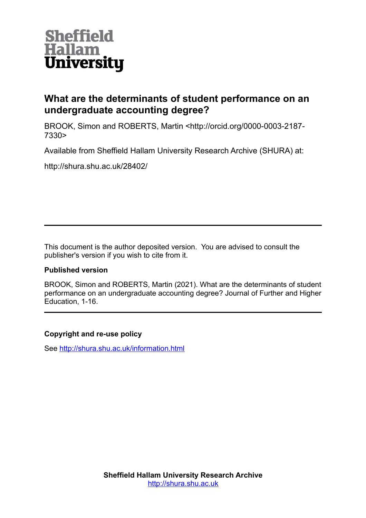

# **What are the determinants of student performance on an undergraduate accounting degree?**

BROOK, Simon and ROBERTS, Martin <http://orcid.org/0000-0003-2187- 7330>

Available from Sheffield Hallam University Research Archive (SHURA) at:

http://shura.shu.ac.uk/28402/

This document is the author deposited version. You are advised to consult the publisher's version if you wish to cite from it.

# **Published version**

BROOK, Simon and ROBERTS, Martin (2021). What are the determinants of student performance on an undergraduate accounting degree? Journal of Further and Higher Education, 1-16.

# **Copyright and re-use policy**

See<http://shura.shu.ac.uk/information.html>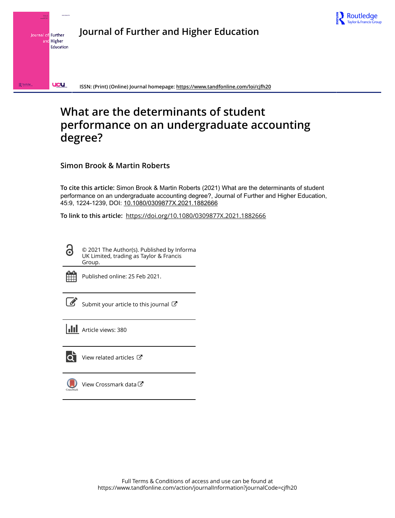

**Journal of Further and Higher Education** Journal of Further and Higher Education

**ISSN: (Print) (Online) Journal homepage:<https://www.tandfonline.com/loi/cjfh20>**

# **What are the determinants of student performance on an undergraduate accounting degree?**

**Simon Brook & Martin Roberts**

**To cite this article:** Simon Brook & Martin Roberts (2021) What are the determinants of student performance on an undergraduate accounting degree?, Journal of Further and Higher Education, 45:9, 1224-1239, DOI: [10.1080/0309877X.2021.1882666](https://www.tandfonline.com/action/showCitFormats?doi=10.1080/0309877X.2021.1882666)

**To link to this article:** <https://doi.org/10.1080/0309877X.2021.1882666>

© 2021 The Author(s). Published by Informa UK Limited, trading as Taylor & Francis Group.



 $\bullet$ 

**UCU** 

R<sub>Route</sub>

Published online: 25 Feb 2021.

[Submit your article to this journal](https://www.tandfonline.com/action/authorSubmission?journalCode=cjfh20&show=instructions)  $\mathbb{Z}$ 

**III** Article views: 380



[View related articles](https://www.tandfonline.com/doi/mlt/10.1080/0309877X.2021.1882666)  $\mathbb{Z}$ 

[View Crossmark data](http://crossmark.crossref.org/dialog/?doi=10.1080/0309877X.2021.1882666&domain=pdf&date_stamp=2021-02-25)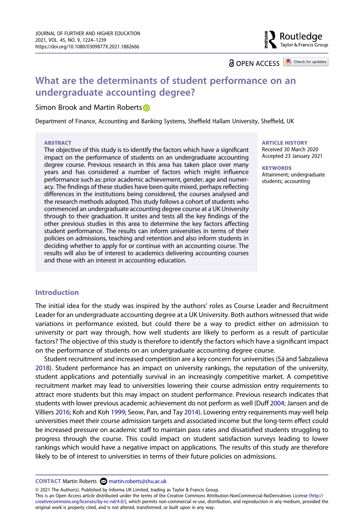Routledge سے<br>Taylor & Francis Group

**a** OPEN ACCESS **a** Check for updates

# **What are the determinants of student performance on an undergraduate accounting degree?**

## Simon Brook and Martin Roberts **D**

Department of Finance, Accounting and Banking Systems, Sheffield Hallam University, Sheffield, UK

#### **ABSTRACT**

The objective of this study is to identify the factors which have a significant impact on the performance of students on an undergraduate accounting degree course. Previous research in this area has taken place over many years and has considered a number of factors which might influence performance such as: prior academic achievement, gender, age and numeracy. The findings of these studies have been quite mixed, perhaps reflecting differences in the institutions being considered, the courses analysed and the research methods adopted. This study follows a cohort of students who commenced an undergraduate accounting degree course at a UK University through to their graduation. It unites and tests all the key findings of the other previous studies in this area to determine the key factors affecting student performance. The results can inform universities in terms of their policies on admissions, teaching and retention and also inform students in deciding whether to apply for or continue with an accounting course. The results will also be of interest to academics delivering accounting courses and those with an interest in accounting education.

# **ARTICLE HISTORY**

Received 30 March 2020 Accepted 23 January 2021

#### **KEYWORDS**

Attainment; undergraduate students; accounting

# **Introduction**

The initial idea for the study was inspired by the authors' roles as Course Leader and Recruitment Leader for an undergraduate accounting degree at a UK University. Both authors witnessed that wide variations in performance existed, but could there be a way to predict either on admission to university or part way through, how well students are likely to perform as a result of particular factors? The objective of this study is therefore to identify the factors which have a significant impact on the performance of students on an undergraduate accounting degree course.

<span id="page-2-2"></span><span id="page-2-1"></span><span id="page-2-0"></span>Student recruitment and increased competition are a key concern for universities (Sá and Sabzalieva [2018](#page-17-0)). Student performance has an impact on university rankings, the reputation of the university, student applications and potentially survival in an increasingly competitive market. A competitive recruitment market may lead to universities lowering their course admission entry requirements to attract more students but this may impact on student performance. Previous research indicates that students with lower previous academic achievement do not perform as well (Duff [2004](#page-16-0); Jansen and de Villiers [2016](#page-17-1); Koh and Koh [1999](#page-17-2); Seow, Pan, and Tay [2014](#page-17-3)). Lowering entry requirements may well help universities meet their course admission targets and associated income but the long-term effect could be increased pressure on academic staff to maintain pass rates and dissatisfied students struggling to progress through the course. This could impact on student satisfaction surveys leading to lower rankings which would have a negative impact on applications. The results of this study are therefore likely to be of interest to universities in terms of their future policies on admissions.

**CONTACT** Martin Roberts **⊠** martin.roberts@shu.ac.uk

© 2021 The Author(s). Published by Informa UK Limited, trading as Taylor & Francis Group.

This is an Open Access article distributed under the terms of the Creative Commons Attribution-NonCommercial-NoDerivatives License (http:// creativecommons.org/licenses/by-nc-nd/4.0/), which permits non-commercial re-use, distribution, and reproduction in any medium, provided the original work is properly cited, and is not altered, transformed, or built upon in any way.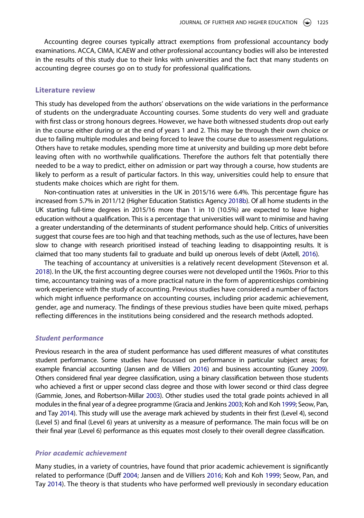Accounting degree courses typically attract exemptions from professional accountancy body examinations. ACCA, CIMA, ICAEW and other professional accountancy bodies will also be interested in the results of this study due to their links with universities and the fact that many students on accounting degree courses go on to study for professional qualifications.

#### **Literature review**

This study has developed from the authors' observations on the wide variations in the performance of students on the undergraduate Accounting courses. Some students do very well and graduate with first class or strong honours degrees. However, we have both witnessed students drop out early in the course either during or at the end of years 1 and 2. This may be through their own choice or due to failing multiple modules and being forced to leave the course due to assessment regulations. Others have to retake modules, spending more time at university and building up more debt before leaving often with no worthwhile qualifications. Therefore the authors felt that potentially there needed to be a way to predict, either on admission or part way through a course, how students are likely to perform as a result of particular factors. In this way, universities could help to ensure that students make choices which are right for them.

<span id="page-3-4"></span>Non-continuation rates at universities in the UK in 2015/16 were 6.4%. This percentage figure has increased from 5.7% in 2011/12 (Higher Education Statistics Agency [2018b\)](#page-17-4). Of all home students in the UK starting full-time degrees in 2015/16 more than 1 in 10 (10.5%) are expected to leave higher education without a qualification. This is a percentage that universities will want to minimise and having a greater understanding of the determinants of student performance should help. Critics of universities suggest that course fees are too high and that teaching methods, such as the use of lectures, have been slow to change with research prioritised instead of teaching leading to disappointing results. It is claimed that too many students fail to graduate and build up onerous levels of debt (Axtell, [2016](#page-16-1)).

<span id="page-3-5"></span><span id="page-3-0"></span>The teaching of accountancy at universities is a relatively recent development (Stevenson et al. [2018\)](#page-17-5). In the UK, the first accounting degree courses were not developed until the 1960s. Prior to this time, accountancy training was of a more practical nature in the form of apprenticeships combining work experience with the study of accounting. Previous studies have considered a number of factors which might influence performance on accounting courses, including prior academic achievement, gender, age and numeracy. The findings of these previous studies have been quite mixed, perhaps reflecting differences in the institutions being considered and the research methods adopted.

#### *Student performance*

<span id="page-3-3"></span><span id="page-3-2"></span><span id="page-3-1"></span>Previous research in the area of student performance has used different measures of what constitutes student performance. Some studies have focussed on performance in particular subject areas; for example financial accounting (Jansen and de Villiers [2016\)](#page-17-1) and business accounting (Guney [2009\)](#page-17-6). Others considered final year degree classification, using a binary classification between those students who achieved a first or upper second class degree and those with lower second or third class degree (Gammie, Jones, and Robertson-Millar [2003\)](#page-17-7). Other studies used the total grade points achieved in all modules in the final year of a degree programme (Gracia and Jenkins [2003](#page-17-8); Koh and Koh [1999;](#page-17-2) Seow, Pan, and Tay [2014\)](#page-17-3). This study will use the average mark achieved by students in their first (Level 4), second (Level 5) and final (Level 6) years at university as a measure of performance. The main focus will be on their final year (Level 6) performance as this equates most closely to their overall degree classification.

#### *Prior academic achievement*

Many studies, in a variety of countries, have found that prior academic achievement is significantly related to performance (Duff [2004](#page-16-0); Jansen and de Villiers [2016](#page-17-1); Koh and Koh [1999](#page-17-2); Seow, Pan, and Tay [2014\)](#page-17-3). The theory is that students who have performed well previously in secondary education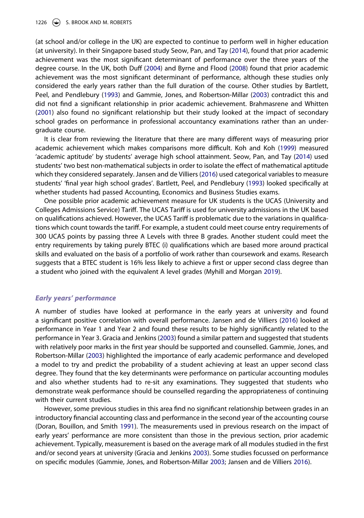<span id="page-4-2"></span>(at school and/or college in the UK) are expected to continue to perform well in higher education (at university). In their Singapore based study Seow, Pan, and Tay ([2014\)](#page-17-3), found that prior academic achievement was the most significant determinant of performance over the three years of the degree course. In the UK, both Duff [\(2004\)](#page-16-0) and Byrne and Flood ([2008](#page-16-2)) found that prior academic achievement was the most significant determinant of performance, although these studies only considered the early years rather than the full duration of the course. Other studies by Bartlett, Peel, and Pendlebury ([1993](#page-16-3)) and Gammie, Jones, and Robertson-Millar ([2003](#page-17-7)) contradict this and did not find a significant relationship in prior academic achievement. Brahmasrene and Whitten ([2001](#page-16-4)) also found no significant relationship but their study looked at the impact of secondary school grades on performance in professional accountancy examinations rather than an undergraduate course.

<span id="page-4-1"></span>It is clear from reviewing the literature that there are many different ways of measuring prior academic achievement which makes comparisons more difficult. Koh and Koh ([1999](#page-17-2)) measured 'academic aptitude' by students' average high school attainment. Seow, Pan, and Tay ([2014](#page-17-3)) used students' two best non-mathematical subjects in order to isolate the effect of mathematical aptitude which they considered separately. Jansen and de Villiers ([2016](#page-17-1)) used categorical variables to measure students' 'final year high school grades'. Bartlett, Peel, and Pendlebury ([1993](#page-16-3)) looked specifically at whether students had passed Accounting, Economics and Business Studies exams.

<span id="page-4-0"></span>One possible prior academic achievement measure for UK students is the UCAS (University and Colleges Admissions Service) Tariff. The UCAS Tariff is used for university admissions in the UK based on qualifications achieved. However, the UCAS Tariff is problematic due to the variations in qualifications which count towards the tariff. For example, a student could meet course entry requirements of 300 UCAS points by passing three A Levels with three B grades. Another student could meet the entry requirements by taking purely BTEC (i) qualifications which are based more around practical skills and evaluated on the basis of a portfolio of work rather than coursework and exams. Research suggests that a BTEC student is 16% less likely to achieve a first or upper second class degree than a student who joined with the equivalent A level grades (Myhill and Morgan [2019](#page-17-9)).

## <span id="page-4-4"></span>*Early years' performance*

A number of studies have looked at performance in the early years at university and found a significant positive correlation with overall performance. Jansen and de Villiers ([2016](#page-17-1)) looked at performance in Year 1 and Year 2 and found these results to be highly significantly related to the performance in Year 3. Gracia and Jenkins ([2003](#page-17-8)) found a similar pattern and suggested that students with relatively poor marks in the first year should be supported and counselled. Gammie, Jones, and Robertson-Millar [\(2003\)](#page-17-7) highlighted the importance of early academic performance and developed a model to try and predict the probability of a student achieving at least an upper second class degree. They found that the key determinants were performance on particular accounting modules and also whether students had to re-sit any examinations. They suggested that students who demonstrate weak performance should be counselled regarding the appropriateness of continuing with their current studies.

<span id="page-4-3"></span>However, some previous studies in this area find no significant relationship between grades in an introductory financial accounting class and performance in the second year of the accounting course (Doran, Bouillon, and Smith [1991](#page-16-5)). The measurements used in previous research on the impact of early years' performance are more consistent than those in the previous section, prior academic achievement. Typically, measurement is based on the average mark of all modules studied in the first and/or second years at university (Gracia and Jenkins [2003](#page-17-8)). Some studies focussed on performance on specific modules (Gammie, Jones, and Robertson-Millar [2003;](#page-17-7) Jansen and de Villiers [2016\)](#page-17-1).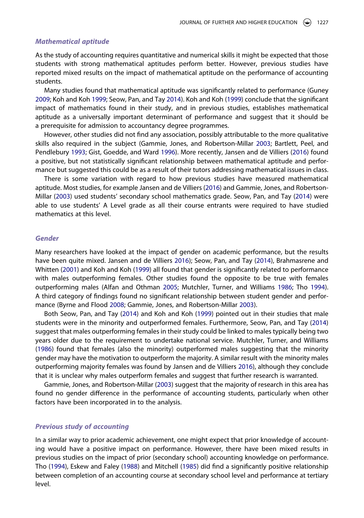#### *Mathematical aptitude*

As the study of accounting requires quantitative and numerical skills it might be expected that those students with strong mathematical aptitudes perform better. However, previous studies have reported mixed results on the impact of mathematical aptitude on the performance of accounting students.

Many studies found that mathematical aptitude was significantly related to performance (Guney [2009;](#page-17-6) Koh and Koh [1999;](#page-17-2) Seow, Pan, and Tay [2014](#page-17-3)). Koh and Koh ([1999](#page-17-2)) conclude that the significant impact of mathematics found in their study, and in previous studies, establishes mathematical aptitude as a universally important determinant of performance and suggest that it should be a prerequisite for admission to accountancy degree programmes.

<span id="page-5-2"></span>However, other studies did not find any association, possibly attributable to the more qualitative skills also required in the subject (Gammie, Jones, and Robertson-Millar [2003;](#page-17-7) Bartlett, Peel, and Pendlebury [1993;](#page-16-3) Gist, Goedde, and Ward [1996\)](#page-17-10). More recently, Jansen and de Villiers ([2016](#page-17-1)) found a positive, but not statistically significant relationship between mathematical aptitude and performance but suggested this could be as a result of their tutors addressing mathematical issues in class.

There is some variation with regard to how previous studies have measured mathematical aptitude. Most studies, for example Jansen and de Villiers [\(2016\)](#page-17-1) and Gammie, Jones, and Robertson-Millar ([2003](#page-17-7)) used students' secondary school mathematics grade. Seow, Pan, and Tay ([2014](#page-17-3)) were able to use students' A Level grade as all their course entrants were required to have studied mathematics at this level.

#### *Gender*

Many researchers have looked at the impact of gender on academic performance, but the results have been quite mixed. Jansen and de Villiers [2016](#page-17-1)); Seow, Pan, and Tay ([2014](#page-17-3)), Brahmasrene and Whitten ([2001](#page-16-4)) and Koh and Koh [\(1999\)](#page-17-2) all found that gender is significantly related to performance with males outperforming females. Other studies found the opposite to be true with females outperforming males (Alfan and Othman [2005;](#page-16-6) Mutchler, Turner, and Williams [1986;](#page-17-11) Tho [1994\)](#page-17-12). A third category of findings found no significant relationship between student gender and performance (Byrne and Flood [2008](#page-16-2); Gammie, Jones, and Robertson-Millar [2003](#page-17-7)).

<span id="page-5-3"></span><span id="page-5-0"></span>Both Seow, Pan, and Tay ([2014](#page-17-3)) and Koh and Koh [\(1999\)](#page-17-2) pointed out in their studies that male students were in the minority and outperformed females. Furthermore, Seow, Pan, and Tay [\(2014\)](#page-17-3) suggest that males outperforming females in their study could be linked to males typically being two years older due to the requirement to undertake national service. Mutchler, Turner, and Williams ([1986](#page-17-11)) found that females (also the minority) outperformed males suggesting that the minority gender may have the motivation to outperform the majority. A similar result with the minority males outperforming majority females was found by Jansen and de Villiers [2016\)](#page-17-1), although they conclude that it is unclear why males outperform females and suggest that further research is warranted.

Gammie, Jones, and Robertson-Millar ([2003](#page-17-7)) suggest that the majority of research in this area has found no gender difference in the performance of accounting students, particularly when other factors have been incorporated in to the analysis.

# *Previous study of accounting*

<span id="page-5-1"></span>In a similar way to prior academic achievement, one might expect that prior knowledge of accounting would have a positive impact on performance. However, there have been mixed results in previous studies on the impact of prior (secondary school) accounting knowledge on performance. Tho ([1994](#page-17-12)), Eskew and Faley [\(1988\)](#page-16-7) and Mitchell [\(1985\)](#page-17-13) did find a significantly positive relationship between completion of an accounting course at secondary school level and performance at tertiary level.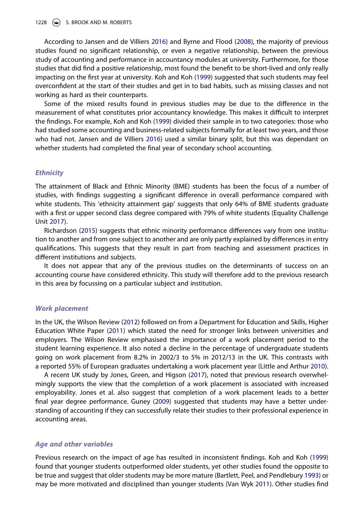According to Jansen and de Villiers [2016\)](#page-17-1) and Byrne and Flood ([2008](#page-16-2)), the majority of previous studies found no significant relationship, or even a negative relationship, between the previous study of accounting and performance in accountancy modules at university. Furthermore, for those studies that did find a positive relationship, most found the benefit to be short-lived and only really impacting on the first year at university. Koh and Koh [\(1999\)](#page-17-2) suggested that such students may feel overconfident at the start of their studies and get in to bad habits, such as missing classes and not working as hard as their counterparts.

Some of the mixed results found in previous studies may be due to the difference in the measurement of what constitutes prior accountancy knowledge. This makes it difficult to interpret the findings. For example, Koh and Koh [\(1999\)](#page-17-2) divided their sample in to two categories: those who had studied some accounting and business-related subjects formally for at least two years, and those who had not. Jansen and de Villiers [2016\)](#page-17-1) used a similar binary split, but this was dependant on whether students had completed the final year of secondary school accounting.

### *Ethnicity*

The attainment of Black and Ethnic Minority (BME) students has been the focus of a number of studies, with findings suggesting a significant difference in overall performance compared with white students. This 'ethnicity attainment gap' suggests that only 64% of BME students graduate with a first or upper second class degree compared with 79% of white students (Equality Challenge Unit [2017\)](#page-16-8).

<span id="page-6-4"></span><span id="page-6-1"></span>Richardson ([2015](#page-17-14)) suggests that ethnic minority performance differences vary from one institution to another and from one subject to another and are only partly explained by differences in entry qualifications. This suggests that they result in part from teaching and assessment practices in different institutions and subjects.

It does not appear that any of the previous studies on the determinants of success on an accounting course have considered ethnicity. This study will therefore add to the previous research in this area by focussing on a particular subject and institution.

#### *Work placement*

<span id="page-6-6"></span><span id="page-6-0"></span>In the UK, the Wilson Review [\(2012\)](#page-17-15) followed on from a Department for Education and Skills, Higher Education White Paper ([2011](#page-16-9)) which stated the need for stronger links between universities and employers. The Wilson Review emphasised the importance of a work placement period to the student learning experience. It also noted a decline in the percentage of undergraduate students going on work placement from 8.2% in 2002/3 to 5% in 2012/13 in the UK. This contrasts with a reported 55% of European graduates undertaking a work placement year (Little and Arthur [2010\)](#page-17-16).

<span id="page-6-3"></span><span id="page-6-2"></span>A recent UK study by Jones, Green, and Higson [\(2017\)](#page-17-17), noted that previous research overwhelmingly supports the view that the completion of a work placement is associated with increased employability. Jones et al. also suggest that completion of a work placement leads to a better final year degree performance. Guney [\(2009\)](#page-17-6) suggested that students may have a better understanding of accounting if they can successfully relate their studies to their professional experience in accounting areas.

#### *Age and other variables*

<span id="page-6-5"></span>Previous research on the impact of age has resulted in inconsistent findings. Koh and Koh [\(1999\)](#page-17-2) found that younger students outperformed older students, yet other studies found the opposite to be true and suggest that older students may be more mature (Bartlett, Peel, and Pendlebury [1993](#page-16-3)) or may be more motivated and disciplined than younger students (Van Wyk [2011\)](#page-17-18). Other studies find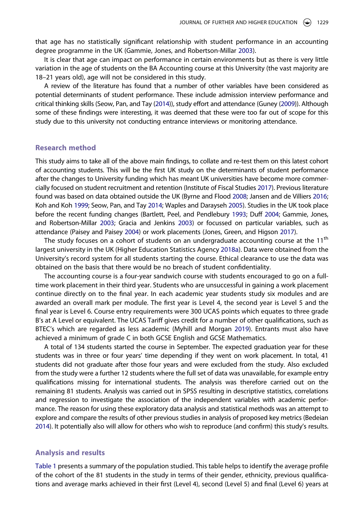that age has no statistically significant relationship with student performance in an accounting degree programme in the UK (Gammie, Jones, and Robertson-Millar [2003\)](#page-17-7).

It is clear that age can impact on performance in certain environments but as there is very little variation in the age of students on the BA Accounting course at this University (the vast majority are 18–21 years old), age will not be considered in this study.

A review of the literature has found that a number of other variables have been considered as potential determinants of student performance. These include admission interview performance and critical thinking skills (Seow, Pan, and Tay ([2014](#page-17-3))), study effort and attendance (Guney ([2009\)](#page-17-6)). Although some of these findings were interesting, it was deemed that these were too far out of scope for this study due to this university not conducting entrance interviews or monitoring attendance.

# **Research method**

<span id="page-7-2"></span>This study aims to take all of the above main findings, to collate and re-test them on this latest cohort of accounting students. This will be the first UK study on the determinants of student performance after the changes to University funding which has meant UK universities have become more commercially focused on student recruitment and retention (Institute of Fiscal Studies [2017](#page-17-19)). Previous literature found was based on data obtained outside the UK (Byrne and Flood [2008](#page-16-2); Jansen and de Villiers [2016](#page-17-1); Koh and Koh [1999;](#page-17-2) Seow, Pan, and Tay [2014;](#page-17-3) Waples and Darayseh [2005\)](#page-17-20). Studies in the UK took place before the recent funding changes (Bartlett, Peel, and Pendlebury [1993;](#page-16-3) Duff [2004](#page-16-0); Gammie, Jones, and Robertson-Millar [2003;](#page-17-7) Gracia and Jenkins [2003\)](#page-17-8) or focussed on particular variables, such as attendance (Paisey and Paisey [2004](#page-17-21)) or work placements (Jones, Green, and Higson [2017\)](#page-17-17).

<span id="page-7-4"></span><span id="page-7-3"></span><span id="page-7-1"></span>The study focuses on a cohort of students on an undergraduate accounting course at the 11<sup>th</sup> largest university in the UK (Higher Education Statistics Agency [2018a](#page-17-22)). Data were obtained from the University's record system for all students starting the course. Ethical clearance to use the data was obtained on the basis that there would be no breach of student confidentiality.

The accounting course is a four-year sandwich course with students encouraged to go on a fulltime work placement in their third year. Students who are unsuccessful in gaining a work placement continue directly on to the final year. In each academic year students study six modules and are awarded an overall mark per module. The first year is Level 4, the second year is Level 5 and the final year is Level 6. Course entry requirements were 300 UCAS points which equates to three grade B's at A Level or equivalent. The UCAS Tariff gives credit for a number of other qualifications, such as BTEC's which are regarded as less academic (Myhill and Morgan [2019\)](#page-17-9). Entrants must also have achieved a minimum of grade C in both GCSE English and GCSE Mathematics.

A total of 134 students started the course in September. The expected graduation year for these students was in three or four years' time depending if they went on work placement. In total, 41 students did not graduate after those four years and were excluded from the study. Also excluded from the study were a further 12 students where the full set of data was unavailable, for example entry qualifications missing for international students. The analysis was therefore carried out on the remaining 81 students. Analysis was carried out in SPSS resulting in descriptive statistics, correlations and regression to investigate the association of the independent variables with academic performance. The reason for using these exploratory data analysis and statistical methods was an attempt to explore and compare the results of other previous studies in analysis of proposed key metrics (Bedeian [2014](#page-16-10)). It potentially also will allow for others who wish to reproduce (and confirm) this study's results.

#### <span id="page-7-0"></span>**Analysis and results**

[Table 1](#page-9-0) presents a summary of the population studied. This table helps to identify the average profile of the cohort of the 81 students in the study in terms of their gender, ethnicity, previous qualifications and average marks achieved in their first (Level 4), second (Level 5) and final (Level 6) years at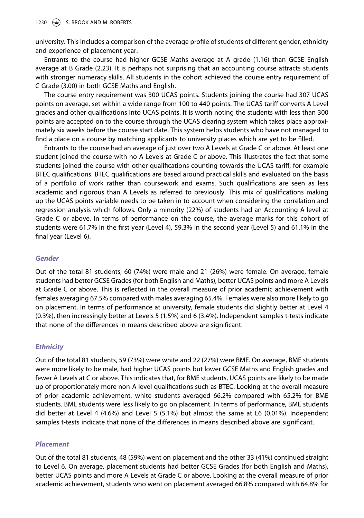#### 1230 **S. BROOK AND M. ROBERTS**

university. This includes a comparison of the average profile of students of different gender, ethnicity and experience of placement year.

Entrants to the course had higher GCSE Maths average at A grade (1.16) than GCSE English average at B Grade (2.23). It is perhaps not surprising that an accounting course attracts students with stronger numeracy skills. All students in the cohort achieved the course entry requirement of C Grade (3.00) in both GCSE Maths and English.

The course entry requirement was 300 UCAS points. Students joining the course had 307 UCAS points on average, set within a wide range from 100 to 440 points. The UCAS tariff converts A Level grades and other qualifications into UCAS points. It is worth noting the students with less than 300 points are accepted on to the course through the UCAS clearing system which takes place approximately six weeks before the course start date. This system helps students who have not managed to find a place on a course by matching applicants to university places which are yet to be filled.

Entrants to the course had an average of just over two A Levels at Grade C or above. At least one student joined the course with no A Levels at Grade C or above. This illustrates the fact that some students joined the course with other qualifications counting towards the UCAS tariff, for example BTEC qualifications. BTEC qualifications are based around practical skills and evaluated on the basis of a portfolio of work rather than coursework and exams. Such qualifications are seen as less academic and rigorous than A Levels as referred to previously. This mix of qualifications making up the UCAS points variable needs to be taken in to account when considering the correlation and regression analysis which follows. Only a minority (22%) of students had an Accounting A level at Grade C or above. In terms of performance on the course, the average marks for this cohort of students were 61.7% in the first year (Level 4), 59.3% in the second year (Level 5) and 61.1% in the final year (Level 6).

# *Gender*

Out of the total 81 students, 60 (74%) were male and 21 (26%) were female. On average, female students had better GCSE Grades (for both English and Maths), better UCAS points and more A Levels at Grade C or above. This is reflected in the overall measure of prior academic achievement with females averaging 67.5% compared with males averaging 65.4%. Females were also more likely to go on placement. In terms of performance at university, female students did slightly better at Level 4 (0.3%), then increasingly better at Levels 5 (1.5%) and 6 (3.4%). Independent samples t-tests indicate that none of the differences in means described above are significant.

# *Ethnicity*

Out of the total 81 students, 59 (73%) were white and 22 (27%) were BME. On average, BME students were more likely to be male, had higher UCAS points but lower GCSE Maths and English grades and fewer A Levels at C or above. This indicates that, for BME students, UCAS points are likely to be made up of proportionately more non-A level qualifications such as BTEC. Looking at the overall measure of prior academic achievement, white students averaged 66.2% compared with 65.2% for BME students. BME students were less likely to go on placement. In terms of performance, BME students did better at Level 4 (4.6%) and Level 5 (5.1%) but almost the same at L6 (0.01%). Independent samples t-tests indicate that none of the differences in means described above are significant.

## *Placement*

Out of the total 81 students, 48 (59%) went on placement and the other 33 (41%) continued straight to Level 6. On average, placement students had better GCSE Grades (for both English and Maths), better UCAS points and more A Levels at Grade C or above. Looking at the overall measure of prior academic achievement, students who went on placement averaged 66.8% compared with 64.8% for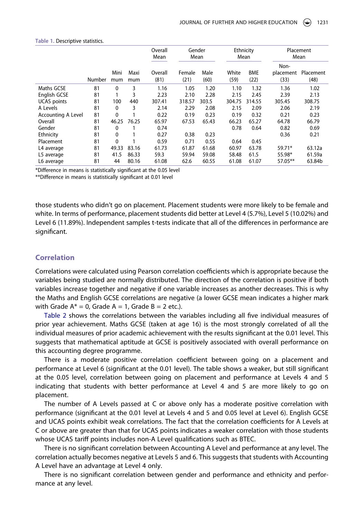|                           |        |              |             | Overall<br>Mean | Gender<br>Mean |              |               | Ethnicity<br>Mean  |                           | Placement<br>Mean |
|---------------------------|--------|--------------|-------------|-----------------|----------------|--------------|---------------|--------------------|---------------------------|-------------------|
|                           | Number | Mini<br>mum  | Maxi<br>mum | Overall<br>(81) | Female<br>(21) | Male<br>(60) | White<br>(59) | <b>BME</b><br>(22) | Non-<br>placement<br>(33) | Placement<br>(48) |
| Maths GCSE                | 81     | $\mathbf{0}$ | 3           | 1.16            | 1.05           | 1.20         | 1.10          | 1.32               | 1.36                      | 1.02              |
| English GCSE              | 81     |              | 3           | 2.23            | 2.10           | 2.28         | 2.15          | 2.45               | 2.39                      | 2.13              |
| <b>UCAS</b> points        | 81     | 100          | 440         | 307.41          | 318.57         | 303.5        | 304.75        | 314.55             | 305.45                    | 308.75            |
| A Levels                  | 81     | 0            | 3           | 2.14            | 2.29           | 2.08         | 2.15          | 2.09               | 2.06                      | 2.19              |
| <b>Accounting A Level</b> | 81     | 0            |             | 0.22            | 0.19           | 0.23         | 0.19          | 0.32               | 0.21                      | 0.23              |
| Overall                   | 81     | 46.25        | 76.25       | 65.97           | 67.53          | 65.43        | 66.23         | 65.27              | 64.78                     | 66.79             |
| Gender                    | 81     | 0            |             | 0.74            |                |              | 0.78          | 0.64               | 0.82                      | 0.69              |
| Ethnicity                 | 81     | 0            |             | 0.27            | 0.38           | 0.23         |               |                    | 0.36                      | 0.21              |
| Placement                 | 81     | 0            |             | 0.59            | 0.71           | 0.55         | 0.64          | 0.45               |                           |                   |
| L4 average                | 81     | 49.33        | 83.16       | 61.73           | 61.87          | 61.68        | 60.97         | 63.78              | 59.71*                    | 63.12a            |
| L5 average                | 81     | 41.5         | 86.33       | 59.3            | 59.94          | 59.08        | 58.48         | 61.5               | 55.98*                    | 61.59a            |
| L6 average                | 81     | 44           | 80.16       | 61.08           | 62.6           | 60.55        | 61.08         | 61.07              | 57.05**                   | 63.84b            |

#### <span id="page-9-0"></span>**Table 1.** Descriptive statistics.

\*Difference in means is statistically significant at the 0.05 level

\*\*Difference in means is statistically significant at 0.01 level

those students who didn't go on placement. Placement students were more likely to be female and white. In terms of performance, placement students did better at Level 4 (5.7%), Level 5 (10.02%) and Level 6 (11.89%). Independent samples t-tests indicate that all of the differences in performance are significant.

# **Correlation**

Correlations were calculated using Pearson correlation coefficients which is appropriate because the variables being studied are normally distributed. The direction of the correlation is positive if both variables increase together and negative if one variable increases as another decreases. This is why the Maths and English GCSE correlations are negative (a lower GCSE mean indicates a higher mark with Grade  $A^* = 0$ , Grade  $A = 1$ , Grade  $B = 2$  etc.).

[Table 2](#page-10-0) shows the correlations between the variables including all five individual measures of prior year achievement. Maths GCSE (taken at age 16) is the most strongly correlated of all the individual measures of prior academic achievement with the results significant at the 0.01 level. This suggests that mathematical aptitude at GCSE is positively associated with overall performance on this accounting degree programme.

There is a moderate positive correlation coefficient between going on a placement and performance at Level 6 (significant at the 0.01 level). The table shows a weaker, but still significant at the 0.05 level, correlation between going on placement and performance at Levels 4 and 5 indicating that students with better performance at Level 4 and 5 are more likely to go on placement.

The number of A Levels passed at C or above only has a moderate positive correlation with performance (significant at the 0.01 level at Levels 4 and 5 and 0.05 level at Level 6). English GCSE and UCAS points exhibit weak correlations. The fact that the correlation coefficients for A Levels at C or above are greater than that for UCAS points indicates a weaker correlation with those students whose UCAS tariff points includes non-A Level qualifications such as BTEC.

There is no significant correlation between Accounting A Level and performance at any level. The correlation actually becomes negative at Levels 5 and 6. This suggests that students with Accounting A Level have an advantage at Level 4 only.

There is no significant correlation between gender and performance and ethnicity and performance at any level.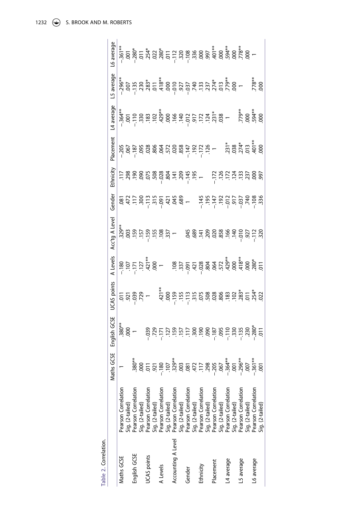<span id="page-10-0"></span>

| Table 2. Correlation. |                                                                                                                                                                      |                                             |                 |                          |                                |                                                                                                                                                                  |        |                                                                                                                 |                                                          |                                                                                                                                                                                                                                  |            |            |
|-----------------------|----------------------------------------------------------------------------------------------------------------------------------------------------------------------|---------------------------------------------|-----------------|--------------------------|--------------------------------|------------------------------------------------------------------------------------------------------------------------------------------------------------------|--------|-----------------------------------------------------------------------------------------------------------------|----------------------------------------------------------|----------------------------------------------------------------------------------------------------------------------------------------------------------------------------------------------------------------------------------|------------|------------|
|                       |                                                                                                                                                                      | GCSE<br><b>Maths</b>                        | English GCSE    | UCAS points              | A Levels                       | Acc'tg A Level                                                                                                                                                   | Gender | Ethnicity                                                                                                       | Placement                                                | L4 average                                                                                                                                                                                                                       | L5 average | L6 average |
| Maths GCSE            | Pearson Correlation                                                                                                                                                  |                                             | $-380**$<br>000 |                          |                                |                                                                                                                                                                  |        |                                                                                                                 |                                                          |                                                                                                                                                                                                                                  |            |            |
|                       | Sig. (2-tailed)                                                                                                                                                      |                                             |                 |                          |                                |                                                                                                                                                                  |        |                                                                                                                 |                                                          |                                                                                                                                                                                                                                  |            |            |
| English GCSE          | Pearson Correlation                                                                                                                                                  |                                             |                 | <u>= ខ្ញុំ ខ្ញុំ 5 –</u> |                                |                                                                                                                                                                  |        |                                                                                                                 |                                                          |                                                                                                                                                                                                                                  |            |            |
|                       | Sig. (2-tailed)                                                                                                                                                      |                                             |                 |                          |                                |                                                                                                                                                                  |        |                                                                                                                 |                                                          |                                                                                                                                                                                                                                  |            |            |
| <b>JCAS</b> points    | Pearson Correlation                                                                                                                                                  | **<br>800<br>901<br>921                     |                 |                          |                                |                                                                                                                                                                  |        |                                                                                                                 |                                                          |                                                                                                                                                                                                                                  |            |            |
|                       | Sig. (2-tailed)                                                                                                                                                      |                                             |                 |                          |                                |                                                                                                                                                                  |        |                                                                                                                 |                                                          |                                                                                                                                                                                                                                  |            |            |
| A Levels              | Pearson Correlation                                                                                                                                                  | $-180$                                      |                 |                          |                                |                                                                                                                                                                  |        |                                                                                                                 |                                                          |                                                                                                                                                                                                                                  |            |            |
|                       | Sig. (2-tailed)                                                                                                                                                      |                                             |                 |                          | 80111480 - 8021888867486486867 |                                                                                                                                                                  |        | $-3.888888872727727$                                                                                            |                                                          | as de la distribución de la distribución de la distribución de la distribución de la distribución de la distri<br>As de la distribución de la distribución de la distribución de la distribución de la distribución de la distri |            |            |
| Accounting A Level    | Pearson Correlation<br>Sig. (2-tailed)                                                                                                                               |                                             |                 |                          |                                |                                                                                                                                                                  |        |                                                                                                                 |                                                          |                                                                                                                                                                                                                                  |            |            |
|                       |                                                                                                                                                                      |                                             |                 |                          |                                |                                                                                                                                                                  |        |                                                                                                                 |                                                          |                                                                                                                                                                                                                                  |            |            |
| Gender                | Pearson Correlation<br>Sig. (2-tailed)<br>Pearson Correlation<br>Sig. (2-tailed)<br>Sig. (2-tailed)<br>Pearson Correlation<br>Sig. (2-tailed)<br>Pearson Correlation | $329**$<br>$003$<br>$003$<br>$472$<br>$117$ |                 |                          |                                | $ \frac{48.8}{36.4}$ $\frac{45.8}{36.4}$ $\frac{56.8}{36.4}$ $\frac{66.4}{36.4}$ $\frac{66.4}{36.4}$ $\frac{66.4}{36.4}$ $\frac{66.4}{36.4}$ $\frac{66.4}{36.4}$ |        |                                                                                                                 |                                                          |                                                                                                                                                                                                                                  |            |            |
|                       |                                                                                                                                                                      |                                             |                 |                          |                                |                                                                                                                                                                  |        |                                                                                                                 |                                                          |                                                                                                                                                                                                                                  |            |            |
| Ethnicity             |                                                                                                                                                                      |                                             |                 |                          |                                |                                                                                                                                                                  |        |                                                                                                                 |                                                          |                                                                                                                                                                                                                                  |            |            |
|                       |                                                                                                                                                                      | 298<br>105-<br>1067                         |                 |                          |                                |                                                                                                                                                                  |        |                                                                                                                 |                                                          |                                                                                                                                                                                                                                  |            |            |
| Placement             |                                                                                                                                                                      |                                             |                 |                          |                                |                                                                                                                                                                  |        |                                                                                                                 |                                                          |                                                                                                                                                                                                                                  |            |            |
|                       |                                                                                                                                                                      |                                             |                 |                          |                                |                                                                                                                                                                  |        |                                                                                                                 |                                                          |                                                                                                                                                                                                                                  |            |            |
| L4 average            |                                                                                                                                                                      |                                             |                 |                          |                                |                                                                                                                                                                  |        |                                                                                                                 |                                                          |                                                                                                                                                                                                                                  |            |            |
|                       |                                                                                                                                                                      |                                             |                 |                          |                                |                                                                                                                                                                  |        |                                                                                                                 |                                                          |                                                                                                                                                                                                                                  |            |            |
| L5 average            |                                                                                                                                                                      |                                             |                 |                          |                                |                                                                                                                                                                  |        |                                                                                                                 |                                                          |                                                                                                                                                                                                                                  |            |            |
|                       |                                                                                                                                                                      | $-364**$<br>$-301$<br>$-296**$<br>$-361**$  |                 |                          |                                |                                                                                                                                                                  |        | $\frac{28}{12}$ $\frac{25}{12}$ $\frac{25}{12}$ $\frac{25}{12}$ $\frac{25}{12}$ $\frac{25}{12}$ $\frac{25}{12}$ | $731*$<br>$738*$<br>$774*$<br>$713*$<br>$713*$<br>$713*$ | *<br>08<br>08<br>08                                                                                                                                                                                                              |            |            |
| L6 average            | Pearson Correlation                                                                                                                                                  |                                             |                 |                          |                                |                                                                                                                                                                  |        |                                                                                                                 |                                                          |                                                                                                                                                                                                                                  |            |            |
|                       | Sig. (2-tailed)                                                                                                                                                      |                                             |                 |                          |                                |                                                                                                                                                                  |        |                                                                                                                 |                                                          |                                                                                                                                                                                                                                  | $.778**$   |            |
|                       |                                                                                                                                                                      |                                             |                 |                          |                                |                                                                                                                                                                  |        |                                                                                                                 |                                                          |                                                                                                                                                                                                                                  |            |            |

1232 G S. BROOK AND M. ROBERTS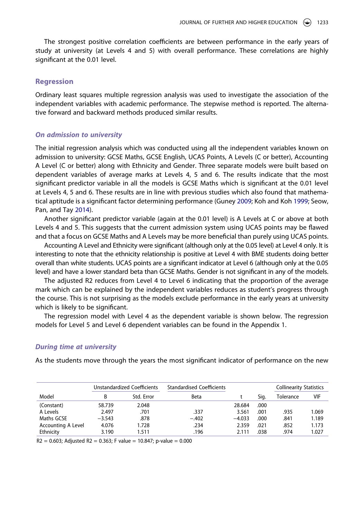The strongest positive correlation coefficients are between performance in the early years of study at university (at Levels 4 and 5) with overall performance. These correlations are highly significant at the 0.01 level.

### **Regression**

Ordinary least squares multiple regression analysis was used to investigate the association of the independent variables with academic performance. The stepwise method is reported. The alternative forward and backward methods produced similar results.

#### *On admission to university*

The initial regression analysis which was conducted using all the independent variables known on admission to university: GCSE Maths, GCSE English, UCAS Points, A Levels (C or better), Accounting A Level (C or better) along with Ethnicity and Gender. Three separate models were built based on dependent variables of average marks at Levels 4, 5 and 6. The results indicate that the most significant predictor variable in all the models is GCSE Maths which is significant at the 0.01 level at Levels 4, 5 and 6. These results are in line with previous studies which also found that mathematical aptitude is a significant factor determining performance (Guney [2009;](#page-17-6) Koh and Koh [1999](#page-17-2); Seow, Pan, and Tay [2014](#page-17-3)).

Another significant predictor variable (again at the 0.01 level) is A Levels at C or above at both Levels 4 and 5. This suggests that the current admission system using UCAS points may be flawed and that a focus on GCSE Maths and A Levels may be more beneficial than purely using UCAS points.

Accounting A Level and Ethnicity were significant (although only at the 0.05 level) at Level 4 only. It is interesting to note that the ethnicity relationship is positive at Level 4 with BME students doing better overall than white students. UCAS points are a significant indicator at Level 6 (although only at the 0.05 level) and have a lower standard beta than GCSE Maths. Gender is not significant in any of the models.

The adjusted R2 reduces from Level 4 to Level 6 indicating that the proportion of the average mark which can be explained by the independent variables reduces as student's progress through the course. This is not surprising as the models exclude performance in the early years at university which is likely to be significant.

The regression model with Level 4 as the dependent variable is shown below. The regression models for Level 5 and Level 6 dependent variables can be found in the Appendix 1.

### *During time at university*

As the students move through the years the most significant indicator of performance on the new

|                           |          | Unstandardized Coefficients | <b>Standardised Coefficients</b> |          |      | <b>Collinearity Statistics</b> |       |
|---------------------------|----------|-----------------------------|----------------------------------|----------|------|--------------------------------|-------|
| Model                     | R        | Std. Error                  | Beta                             |          | Sia. | Tolerance                      | VIF   |
| (Constant)                | 58.739   | 2.048                       |                                  | 28.684   | .000 |                                |       |
| A Levels                  | 2.497    | .701                        | .337                             | 3.561    | .001 | .935                           | 1.069 |
| Maths GCSE                | $-3.543$ | .878                        | $-.402$                          | $-4.033$ | .000 | .841                           | 1.189 |
| <b>Accounting A Level</b> | 4.076    | 1.728                       | .234                             | 2.359    | .021 | .852                           | 1.173 |
| Ethnicity                 | 3.190    | 1.511                       | .196                             | 2.111    | .038 | .974                           | 1.027 |

 $R2 = 0.603$ ; Adjusted R2 = 0.363; F value = 10.847; p-value = 0.000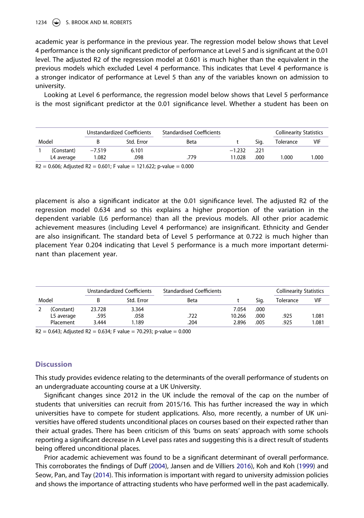#### 1234 (S) S. BROOK AND M. ROBERTS

academic year is performance in the previous year. The regression model below shows that Level 4 performance is the only significant predictor of performance at Level 5 and is significant at the 0.01 level. The adjusted R2 of the regression model at 0.601 is much higher than the equivalent in the previous models which excluded Level 4 performance. This indicates that Level 4 performance is a stronger indicator of performance at Level 5 than any of the variables known on admission to university.

Looking at Level 6 performance, the regression model below shows that Level 5 performance is the most significant predictor at the 0.01 significance level. Whether a student has been on

|            |          | Unstandardized Coefficients | <b>Standardised Coefficients</b> |          |      | <b>Collinearity Statistics</b> |        |
|------------|----------|-----------------------------|----------------------------------|----------|------|--------------------------------|--------|
| Model      |          | Std. Error                  | Beta                             |          | Sia. | Tolerance                      | VIF    |
| (Constant) | $-7.519$ | 6.101                       |                                  | $-1.232$ | .221 |                                |        |
| L4 average | 1.082    | .098                        | .779                             | 11.028   | .000 | 1.000                          | 000. ا |

 $R2 = 0.606$ ; Adjusted R2 = 0.601; F value = 121.622; p-value = 0.000

placement is also a significant indicator at the 0.01 significance level. The adjusted R2 of the regression model 0.634 and so this explains a higher proportion of the variation in the dependent variable (L6 performance) than all the previous models. All other prior academic achievement measures (including Level 4 performance) are insignificant. Ethnicity and Gender are also insignificant. The standard beta of Level 5 performance at 0.722 is much higher than placement Year 0.204 indicating that Level 5 performance is a much more important determinant than placement year.

|       |            |        | Unstandardized Coefficients | <b>Standardised Coefficients</b> |        |      | <b>Collinearity Statistics</b> |            |
|-------|------------|--------|-----------------------------|----------------------------------|--------|------|--------------------------------|------------|
| Model |            |        | Std. Error                  | Beta                             |        | Sia. | Tolerance                      | <b>VIF</b> |
|       | (Constant) | 23.728 | 3.364                       |                                  | 7.054  | .000 |                                |            |
|       | L5 average | .595   | .058                        | .722                             | 10.266 | .000 | .925                           | 1.081      |
|       | Placement  | 3.444  | 1.189                       | 204                              | 2.896  | .005 | .925                           | 1.081      |

 $R2 = 0.643$ ; Adjusted R2 = 0.634; F value = 70.293; p-value = 0.000

# **Discussion**

This study provides evidence relating to the determinants of the overall performance of students on an undergraduate accounting course at a UK University.

Significant changes since 2012 in the UK include the removal of the cap on the number of students that universities can recruit from 2015/16. This has further increased the way in which universities have to compete for student applications. Also, more recently, a number of UK universities have offered students unconditional places on courses based on their expected rather than their actual grades. There has been criticism of this 'bums on seats' approach with some schools reporting a significant decrease in A Level pass rates and suggesting this is a direct result of students being offered unconditional places.

Prior academic achievement was found to be a significant determinant of overall performance. This corroborates the findings of Duff [\(2004\)](#page-16-0), Jansen and de Villiers [2016](#page-17-1)), Koh and Koh [\(1999\)](#page-17-2) and Seow, Pan, and Tay ([2014](#page-17-3)). This information is important with regard to university admission policies and shows the importance of attracting students who have performed well in the past academically.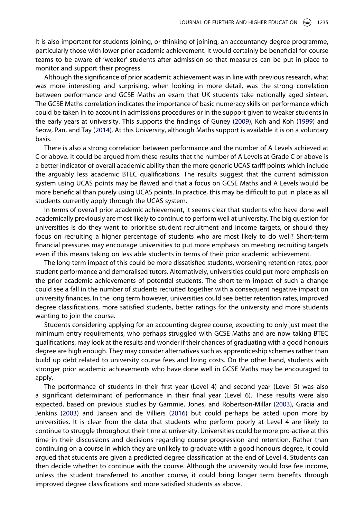It is also important for students joining, or thinking of joining, an accountancy degree programme, particularly those with lower prior academic achievement. It would certainly be beneficial for course teams to be aware of 'weaker' students after admission so that measures can be put in place to monitor and support their progress.

Although the significance of prior academic achievement was in line with previous research, what was more interesting and surprising, when looking in more detail, was the strong correlation between performance and GCSE Maths an exam that UK students take nationally aged sixteen. The GCSE Maths correlation indicates the importance of basic numeracy skills on performance which could be taken in to account in admissions procedures or in the support given to weaker students in the early years at university. This supports the findings of Guney [\(2009\)](#page-17-6), Koh and Koh ([1999](#page-17-2)) and Seow, Pan, and Tay [\(2014\)](#page-17-3). At this University, although Maths support is available it is on a voluntary basis.

There is also a strong correlation between performance and the number of A Levels achieved at C or above. It could be argued from these results that the number of A Levels at Grade C or above is a better indicator of overall academic ability than the more generic UCAS tariff points which include the arguably less academic BTEC qualifications. The results suggest that the current admission system using UCAS points may be flawed and that a focus on GCSE Maths and A Levels would be more beneficial than purely using UCAS points. In practice, this may be difficult to put in place as all students currently apply through the UCAS system.

In terms of overall prior academic achievement, it seems clear that students who have done well academically previously are most likely to continue to perform well at university. The big question for universities is do they want to prioritise student recruitment and income targets, or should they focus on recruiting a higher percentage of students who are most likely to do well? Short-term financial pressures may encourage universities to put more emphasis on meeting recruiting targets even if this means taking on less able students in terms of their prior academic achievement.

The long-term impact of this could be more dissatisfied students, worsening retention rates, poor student performance and demoralised tutors. Alternatively, universities could put more emphasis on the prior academic achievements of potential students. The short-term impact of such a change could see a fall in the number of students recruited together with a consequent negative impact on university finances. In the long term however, universities could see better retention rates, improved degree classifications, more satisfied students, better ratings for the university and more students wanting to join the course.

Students considering applying for an accounting degree course, expecting to only just meet the minimum entry requirements, who perhaps struggled with GCSE Maths and are now taking BTEC qualifications, may look at the results and wonder if their chances of graduating with a good honours degree are high enough. They may consider alternatives such as apprenticeship schemes rather than build up debt related to university course fees and living costs. On the other hand, students with stronger prior academic achievements who have done well in GCSE Maths may be encouraged to apply.

The performance of students in their first year (Level 4) and second year (Level 5) was also a significant determinant of performance in their final year (Level 6). These results were also expected, based on previous studies by Gammie, Jones, and Robertson-Millar ([2003](#page-17-7)), Gracia and Jenkins ([2003](#page-17-8)) and Jansen and de Villiers [\(2016](#page-17-1)) but could perhaps be acted upon more by universities. It is clear from the data that students who perform poorly at Level 4 are likely to continue to struggle throughout their time at university. Universities could be more pro-active at this time in their discussions and decisions regarding course progression and retention. Rather than continuing on a course in which they are unlikely to graduate with a good honours degree, it could argued that students are given a predicted degree classification at the end of Level 4. Students can then decide whether to continue with the course. Although the university would lose fee income, unless the student transferred to another course, it could bring longer term benefits through improved degree classifications and more satisfied students as above.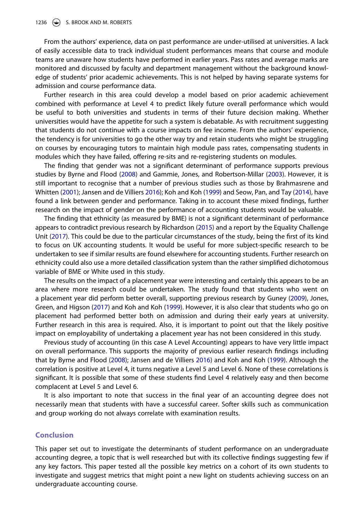From the authors' experience, data on past performance are under-utilised at universities. A lack of easily accessible data to track individual student performances means that course and module teams are unaware how students have performed in earlier years. Pass rates and average marks are monitored and discussed by faculty and department management without the background knowledge of students' prior academic achievements. This is not helped by having separate systems for admission and course performance data.

Further research in this area could develop a model based on prior academic achievement combined with performance at Level 4 to predict likely future overall performance which would be useful to both universities and students in terms of their future decision making. Whether universities would have the appetite for such a system is debatable. As with recruitment suggesting that students do not continue with a course impacts on fee income. From the authors' experience, the tendency is for universities to go the other way try and retain students who might be struggling on courses by encouraging tutors to maintain high module pass rates, compensating students in modules which they have failed, offering re-sits and re-registering students on modules.

The finding that gender was not a significant determinant of performance supports previous studies by Byrne and Flood [\(2008\)](#page-16-2) and Gammie, Jones, and Robertson-Millar [\(2003\)](#page-17-7). However, it is still important to recognise that a number of previous studies such as those by Brahmasrene and Whitten ([2001](#page-16-4)); Jansen and de Villiers [2016\)](#page-17-1); Koh and Koh [\(1999\)](#page-17-2) and Seow, Pan, and Tay ([2014](#page-17-3)), have found a link between gender and performance. Taking in to account these mixed findings, further research on the impact of gender on the performance of accounting students would be valuable.

The finding that ethnicity (as measured by BME) is not a significant determinant of performance appears to contradict previous research by Richardson [\(2015\)](#page-17-14) and a report by the Equality Challenge Unit ([2017](#page-16-8)). This could be due to the particular circumstances of the study, being the first of its kind to focus on UK accounting students. It would be useful for more subject-specific research to be undertaken to see if similar results are found elsewhere for accounting students. Further research on ethnicity could also use a more detailed classification system than the rather simplified dichotomous variable of BME or White used in this study.

The results on the impact of a placement year were interesting and certainly this appears to be an area where more research could be undertaken. The study found that students who went on a placement year did perform better overall, supporting previous research by Guney ([2009](#page-17-6)), Jones, Green, and Higson ([2017](#page-17-17)) and Koh and Koh [\(1999\)](#page-17-2). However, it is also clear that students who go on placement had performed better both on admission and during their early years at university. Further research in this area is required. Also, it is important to point out that the likely positive impact on employability of undertaking a placement year has not been considered in this study.

Previous study of accounting (in this case A Level Accounting) appears to have very little impact on overall performance. This supports the majority of previous earlier research findings including that by Byrne and Flood [\(2008\)](#page-16-2); Jansen and de Villiers [2016](#page-17-1)) and Koh and Koh [\(1999\)](#page-17-2). Although the correlation is positive at Level 4, it turns negative a Level 5 and Level 6. None of these correlations is significant. It is possible that some of these students find Level 4 relatively easy and then become complacent at Level 5 and Level 6.

It is also important to note that success in the final year of an accounting degree does not necessarily mean that students with have a successful career. Softer skills such as communication and group working do not always correlate with examination results.

# **Conclusion**

This paper set out to investigate the determinants of student performance on an undergraduate accounting degree, a topic that is well researched but with its collective findings suggesting few if any key factors. This paper tested all the possible key metrics on a cohort of its own students to investigate and suggest metrics that might point a new light on students achieving success on an undergraduate accounting course.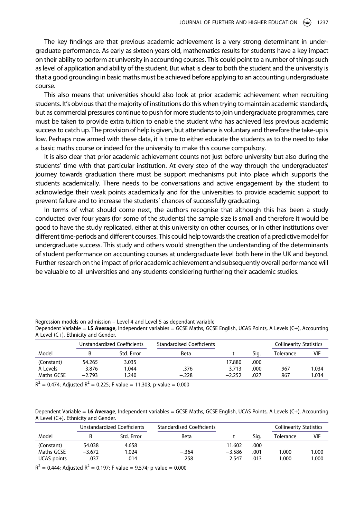The key findings are that previous academic achievement is a very strong determinant in undergraduate performance. As early as sixteen years old, mathematics results for students have a key impact on their ability to perform at university in accounting courses. This could point to a number of things such as level of application and ability of the student. But what is clear to both the student and the university is that a good grounding in basic maths must be achieved before applying to an accounting undergraduate course.

This also means that universities should also look at prior academic achievement when recruiting students. It's obvious that the majority of institutions do this when trying to maintain academic standards, but as commercial pressures continue to push for more students to join undergraduate programmes, care must be taken to provide extra tuition to enable the student who has achieved less previous academic success to catch up. The provision of help is given, but attendance is voluntary and therefore the take-up is low. Perhaps now armed with these data, it is time to either educate the students as to the need to take a basic maths course or indeed for the university to make this course compulsory.

It is also clear that prior academic achievement counts not just before university but also during the students' time with that particular institution. At every step of the way through the undergraduates' journey towards graduation there must be support mechanisms put into place which supports the students academically. There needs to be conversations and active engagement by the student to acknowledge their weak points academically and for the universities to provide academic support to prevent failure and to increase the students' chances of successfully graduating.

In terms of what should come next, the authors recognise that although this has been a study conducted over four years (for some of the students) the sample size is small and therefore it would be good to have the study replicated, either at this university on other courses, or in other institutions over different time-periods and different courses. This could help towards the creation of a predictive model for undergraduate success. This study and others would strengthen the understanding of the determinants of student performance on accounting courses at undergraduate level both here in the UK and beyond. Further research on the impact of prior academic achievement and subsequently overall performance will be valuable to all universities and any students considering furthering their academic studies.

Regression models on admission – Level 4 and Level 5 as dependant variable

Dependent Variable = **L5 Average**, Independent variables = GCSE Maths, GCSE English, UCAS Points, A Levels (C+), Accounting A Level (C+), Ethnicity and Gender.

|            |          | Unstandardized Coefficients | <b>Standardised Coefficients</b> |          |      | <b>Collinearity Statistics</b> |       |
|------------|----------|-----------------------------|----------------------------------|----------|------|--------------------------------|-------|
| Model      |          | Std. Error                  | Beta                             |          | Sig. | Tolerance                      | VIF   |
| (Constant) | 54.265   | 3.035                       |                                  | 17.880   | .000 |                                |       |
| A Levels   | 3.876    | 1.044                       | .376                             | 3.713    | .000 | .967                           | 1.034 |
| Maths GCSE | $-2.793$ | 1.240                       | $-.228$                          | $-2.252$ | .027 | .967                           | 1.034 |
| -          |          |                             |                                  |          |      |                                |       |

 $R^2$  = 0.474; Adjusted  $R^2$  = 0.225; F value = 11.303; p-value = 0.000

Dependent Variable = **L6 Average**, Independent variables = GCSE Maths, GCSE English, UCAS Points, A Levels (C+), Accounting A Level (C+), Ethnicity and Gender.

|             | Unstandardized Coefficients |            | <b>Standardised Coefficients</b> |          |      | Collinearity Statistics |       |
|-------------|-----------------------------|------------|----------------------------------|----------|------|-------------------------|-------|
| Model       |                             | Std. Error | Beta                             |          | Sig. | Tolerance               | VIF   |
| (Constant)  | 54.038                      | 4.658      |                                  | 11.602   | .000 |                         |       |
| Maths GCSE  | $-3.672$                    | 1.024      | $-.364$                          | $-3.586$ | .001 | .000                    | 1.000 |
| UCAS points | .037                        | .014       | .258                             | 2.547    | .013 | .000                    | 1.000 |

 $R^2 = 0.444$ ; Adjusted  $R^2 = 0.197$ ; F value = 9.574; p-value = 0.000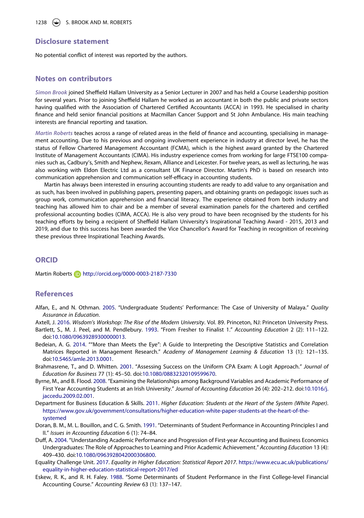# **Disclosure statement**

No potential conflict of interest was reported by the authors.

#### **Notes on contributors**

*Simon Brook* joined Sheffield Hallam University as a Senior Lecturer in 2007 and has held a Course Leadership position for several years. Prior to joining Sheffield Hallam he worked as an accountant in both the public and private sectors having qualified with the Association of Chartered Certified Accountants (ACCA) in 1993. He specialised in charity finance and held senior financial positions at Macmillan Cancer Support and St John Ambulance. His main teaching interests are financial reporting and taxation.

*Martin Roberts* teaches across a range of related areas in the field of finance and accounting, specialising in management accounting. Due to his previous and ongoing involvement experience in industry at director level, he has the status of Fellow Chartered Management Accountant (FCMA), which is the highest award granted by the Chartered Institute of Management Accountants (CIMA). His industry experience comes from working for large FTSE100 companies such as, Cadbury's, Smith and Nephew, Rexam, Alliance and Leicester. For twelve years, as well as lecturing, he was also working with Eldon Electric Ltd as a consultant UK Finance Director. Martin's PhD is based on research into communication apprehension and communication self-efficacy in accounting students.

Martin has always been interested in ensuring accounting students are ready to add value to any organisation and as such, has been involved in publishing papers, presenting papers, and obtaining grants on pedagogic issues such as group work, communication apprehension and financial literacy. The experience obtained from both industry and teaching has allowed him to chair and be a member of several examination panels for the chartered and certified professional accounting bodies (CIMA, ACCA). He is also very proud to have been recognised by the students for his teaching efforts by being a recipient of Sheffield Hallam University's Inspirational Teaching Award - 2015, 2013 and 2019, and due to this success has been awarded the Vice Chancellor's Award for Teaching in recognition of receiving these previous three Inspirational Teaching Awards.

#### **ORCID**

Martin Roberts **http://orcid.org/0000-0003-2187-7330** 

# **References**

- <span id="page-16-6"></span>Alfan, E., and N. Othman. [2005.](#page-5-0) "Undergraduate Students' Performance: The Case of University of Malaya." *Quality Assurance in Education*.
- <span id="page-16-1"></span>Axtell, J. [2016](#page-3-0). *Wisdom's Workshop: The Rise of the Modern University*. Vol. 89. Princeton, NJ: Princeton University Press.
- <span id="page-16-3"></span>Bartlett, S., M. J. Peel, and M. Pendlebury. [1993](#page-4-0). "From Fresher to Finalist 1." *Accounting Education* 2 (2): 111–122. doi:[10.1080/09639289300000013](https://doi.org/10.1080/09639289300000013).
- <span id="page-16-10"></span>Bedeian, A. G. [2014](#page-7-0). ""More than Meets the Eye": A Guide to Interpreting the Descriptive Statistics and Correlation Matrices Reported in Management Research." *Academy of Management Learning & Education* 13 (1): 121–135. doi:[10.5465/amle.2013.0001](https://doi.org/10.5465/amle.2013.0001).
- <span id="page-16-4"></span>Brahmasrene, T., and D. Whitten. [2001](#page-4-1). "Assessing Success on the Uniform CPA Exam: A Logit Approach." *Journal of Education for Business* 77 (1): 45–50. doi:[10.1080/08832320109599670.](https://doi.org/10.1080/08832320109599670)
- <span id="page-16-2"></span>Byrne, M., and B. Flood. [2008](#page-4-2). "Examining the Relationships among Background Variables and Academic Performance of First Year Accounting Students at an Irish University." *Journal of Accounting Education* 26 (4): 202–212. doi:[10.1016/j.](https://doi.org/10.1016/j.jaccedu.2009.02.001) [jaccedu.2009.02.001.](https://doi.org/10.1016/j.jaccedu.2009.02.001)
- <span id="page-16-9"></span>Department for Business Education & Skills. [2011.](#page-6-0) *Higher Education: Students at the Heart of the System (White Paper)*. [https://www.gov.uk/government/consultations/higher-education-white-paper-students-at-the-heart-of-the](https://www.gov.uk/government/consultations/higher-education-white-paper-students-at-the-heart-of-the-systemed)[systemed](https://www.gov.uk/government/consultations/higher-education-white-paper-students-at-the-heart-of-the-systemed)
- <span id="page-16-5"></span>Doran, B. M., M. L. Bouillon, and C. G. Smith. [1991.](#page-4-3) "Determinants of Student Performance in Accounting Principles I and II." *Issues in Accounting Education* 6 (1): 74–84.
- <span id="page-16-0"></span>Duff, A. [2004](#page-2-0). "Understanding Academic Performance and Progression of First-year Accounting and Business Economics Undergraduates: The Role of Approaches to Learning and Prior Academic Achievement." *Accounting Education* 13 (4): 409–430. doi:[10.1080/0963928042000306800.](https://doi.org/10.1080/0963928042000306800)
- <span id="page-16-8"></span>Equality Challenge Unit. [2017](#page-6-1). *Equality in Higher Education: Statistical Report 2017*. [https://www.ecu.ac.uk/publications/](https://www.ecu.ac.uk/publications/equality-in-higher-education-statistical-report-2017/ed) [equality-in-higher-education-statistical-report-2017/ed](https://www.ecu.ac.uk/publications/equality-in-higher-education-statistical-report-2017/ed)
- <span id="page-16-7"></span>Eskew, R. K., and R. H. Faley. [1988.](#page-5-1) "Some Determinants of Student Performance in the First College-level Financial Accounting Course." *Accounting Review* 63 (1): 137–147.